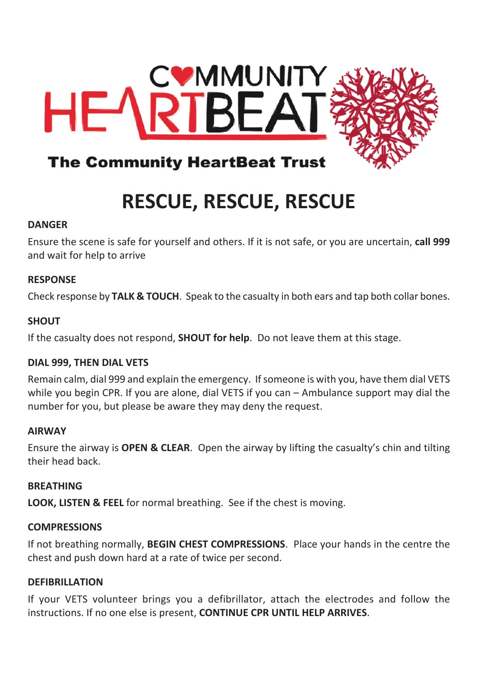

## **RESCUE, RESCUE, RESCUE**

#### **DANGER**

Ensure the scene is safe for yourself and others. If it is not safe, or you are uncertain, **call 999** and wait for help to arrive

#### **RESPONSE**

Check response by **TALK & TOUCH**. Speak to the casualty in both ears and tap both collar bones.

#### **SHOUT**

If the casualty does not respond, **SHOUT for help**. Do not leave them at this stage.

#### **DIAL 999, THEN DIAL VETS**

Remain calm, dial 999 and explain the emergency. If someone is with you, have them dial VETS while you begin CPR. If you are alone, dial VETS if you can – Ambulance support may dial the number for you, but please be aware they may deny the request.

#### **AIRWAY**

Ensure the airway is **OPEN & CLEAR**. Open the airway by lifting the casualty's chin and tilting their head back.

#### **BREATHING**

**LOOK, LISTEN & FEEL** for normal breathing. See if the chest is moving.

#### **COMPRESSIONS**

If not breathing normally, **BEGIN CHEST COMPRESSIONS**. Place your hands in the centre the chest and push down hard at a rate of twice per second.

#### **DEFIBRILLATION**

If your VETS volunteer brings you a defibrillator, attach the electrodes and follow the instructions. If no one else is present, **CONTINUE CPR UNTIL HELP ARRIVES**.